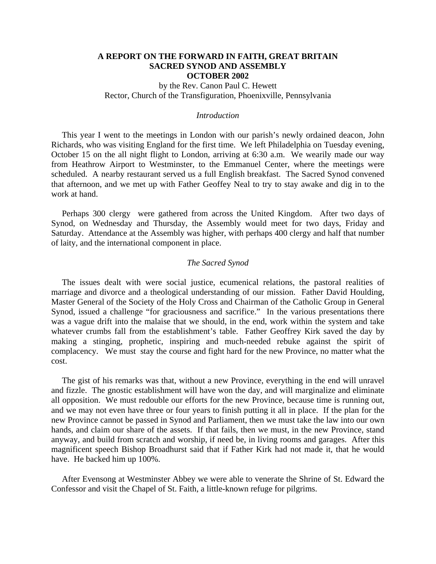# **A REPORT ON THE FORWARD IN FAITH, GREAT BRITAIN SACRED SYNOD AND ASSEMBLY OCTOBER 2002**

by the Rev. Canon Paul C. Hewett Rector, Church of the Transfiguration, Phoenixville, Pennsylvania

## *Introduction*

 This year I went to the meetings in London with our parish's newly ordained deacon, John Richards, who was visiting England for the first time. We left Philadelphia on Tuesday evening, October 15 on the all night flight to London, arriving at 6:30 a.m. We wearily made our way from Heathrow Airport to Westminster, to the Emmanuel Center, where the meetings were scheduled. A nearby restaurant served us a full English breakfast. The Sacred Synod convened that afternoon, and we met up with Father Geoffey Neal to try to stay awake and dig in to the work at hand.

 Perhaps 300 clergy were gathered from across the United Kingdom. After two days of Synod, on Wednesday and Thursday, the Assembly would meet for two days, Friday and Saturday. Attendance at the Assembly was higher, with perhaps 400 clergy and half that number of laity, and the international component in place.

## *The Sacred Synod*

 The issues dealt with were social justice, ecumenical relations, the pastoral realities of marriage and divorce and a theological understanding of our mission. Father David Houlding, Master General of the Society of the Holy Cross and Chairman of the Catholic Group in General Synod, issued a challenge "for graciousness and sacrifice." In the various presentations there was a vague drift into the malaise that we should, in the end, work within the system and take whatever crumbs fall from the establishment's table. Father Geoffrey Kirk saved the day by making a stinging, prophetic, inspiring and much-needed rebuke against the spirit of complacency. We must stay the course and fight hard for the new Province, no matter what the cost.

 The gist of his remarks was that, without a new Province, everything in the end will unravel and fizzle. The gnostic establishment will have won the day, and will marginalize and eliminate all opposition. We must redouble our efforts for the new Province, because time is running out, and we may not even have three or four years to finish putting it all in place. If the plan for the new Province cannot be passed in Synod and Parliament, then we must take the law into our own hands, and claim our share of the assets. If that fails, then we must, in the new Province, stand anyway, and build from scratch and worship, if need be, in living rooms and garages. After this magnificent speech Bishop Broadhurst said that if Father Kirk had not made it, that he would have. He backed him up 100%.

 After Evensong at Westminster Abbey we were able to venerate the Shrine of St. Edward the Confessor and visit the Chapel of St. Faith, a little-known refuge for pilgrims.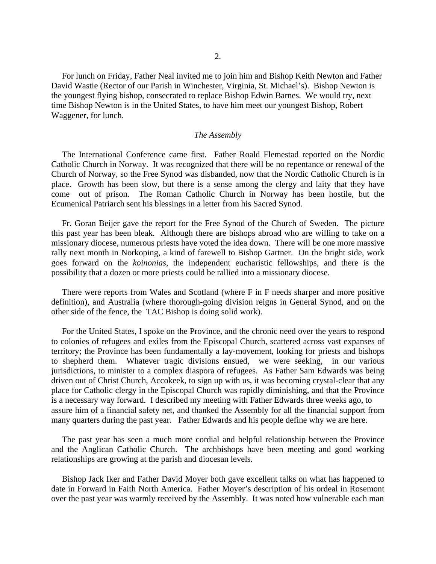For lunch on Friday, Father Neal invited me to join him and Bishop Keith Newton and Father David Wastie (Rector of our Parish in Winchester, Virginia, St. Michael's). Bishop Newton is the youngest flying bishop, consecrated to replace Bishop Edwin Barnes. We would try, next time Bishop Newton is in the United States, to have him meet our youngest Bishop, Robert Waggener, for lunch.

#### *The Assembly*

 The International Conference came first. Father Roald Flemestad reported on the Nordic Catholic Church in Norway. It was recognized that there will be no repentance or renewal of the Church of Norway, so the Free Synod was disbanded, now that the Nordic Catholic Church is in place. Growth has been slow, but there is a sense among the clergy and laity that they have come out of prison. The Roman Catholic Church in Norway has been hostile, but the Ecumenical Patriarch sent his blessings in a letter from his Sacred Synod.

 Fr. Goran Beijer gave the report for the Free Synod of the Church of Sweden. The picture this past year has been bleak. Although there are bishops abroad who are willing to take on a missionary diocese, numerous priests have voted the idea down. There will be one more massive rally next month in Norkoping, a kind of farewell to Bishop Gartner. On the bright side, work goes forward on the *koinonias,* the independent eucharistic fellowships, and there is the possibility that a dozen or more priests could be rallied into a missionary diocese.

 There were reports from Wales and Scotland (where F in F needs sharper and more positive definition), and Australia (where thorough-going division reigns in General Synod, and on the other side of the fence, the TAC Bishop is doing solid work).

 For the United States, I spoke on the Province, and the chronic need over the years to respond to colonies of refugees and exiles from the Episcopal Church, scattered across vast expanses of territory; the Province has been fundamentally a lay-movement, looking for priests and bishops to shepherd them. Whatever tragic divisions ensued, we were seeking, in our various jurisdictions, to minister to a complex diaspora of refugees. As Father Sam Edwards was being driven out of Christ Church, Accokeek, to sign up with us, it was becoming crystal-clear that any place for Catholic clergy in the Episcopal Church was rapidly diminishing, and that the Province is a necessary way forward. I described my meeting with Father Edwards three weeks ago, to assure him of a financial safety net, and thanked the Assembly for all the financial support from many quarters during the past year. Father Edwards and his people define why we are here.

 The past year has seen a much more cordial and helpful relationship between the Province and the Anglican Catholic Church. The archbishops have been meeting and good working relationships are growing at the parish and diocesan levels.

 Bishop Jack Iker and Father David Moyer both gave excellent talks on what has happened to date in Forward in Faith North America. Father Moyer's description of his ordeal in Rosemont over the past year was warmly received by the Assembly. It was noted how vulnerable each man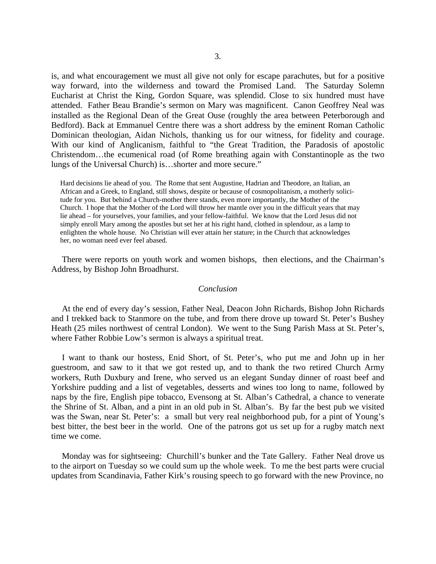is, and what encouragement we must all give not only for escape parachutes, but for a positive way forward, into the wilderness and toward the Promised Land. The Saturday Solemn Eucharist at Christ the King, Gordon Square, was splendid. Close to six hundred must have attended. Father Beau Brandie's sermon on Mary was magnificent. Canon Geoffrey Neal was installed as the Regional Dean of the Great Ouse (roughly the area between Peterborough and Bedford). Back at Emmanuel Centre there was a short address by the eminent Roman Catholic Dominican theologian, Aidan Nichols, thanking us for our witness, for fidelity and courage. With our kind of Anglicanism, faithful to "the Great Tradition, the Paradosis of apostolic Christendom…the ecumenical road (of Rome breathing again with Constantinople as the two lungs of the Universal Church) is…shorter and more secure."

 Hard decisions lie ahead of you. The Rome that sent Augustine, Hadrian and Theodore, an Italian, an African and a Greek, to England, still shows, despite or because of cosmopolitanism, a motherly solici tude for you. But behind a Church-mother there stands, even more importantly, the Mother of the Church. I hope that the Mother of the Lord will throw her mantle over you in the difficult years that may lie ahead – for yourselves, your families, and your fellow-faithful. We know that the Lord Jesus did not simply enroll Mary among the apostles but set her at his right hand, clothed in splendour, as a lamp to enlighten the whole house. No Christian will ever attain her stature; in the Church that acknowledges her, no woman need ever feel abased.

 There were reports on youth work and women bishops, then elections, and the Chairman's Address, by Bishop John Broadhurst.

#### *Conclusion*

At the end of every day's session, Father Neal, Deacon John Richards, Bishop John Richards and I trekked back to Stanmore on the tube, and from there drove up toward St. Peter's Bushey Heath (25 miles northwest of central London). We went to the Sung Parish Mass at St. Peter's, where Father Robbie Low's sermon is always a spiritual treat.

 I want to thank our hostess, Enid Short, of St. Peter's, who put me and John up in her guestroom, and saw to it that we got rested up, and to thank the two retired Church Army workers, Ruth Duxbury and Irene, who served us an elegant Sunday dinner of roast beef and Yorkshire pudding and a list of vegetables, desserts and wines too long to name, followed by naps by the fire, English pipe tobacco, Evensong at St. Alban's Cathedral, a chance to venerate the Shrine of St. Alban, and a pint in an old pub in St. Alban's. By far the best pub we visited was the Swan, near St. Peter's: a small but very real neighborhood pub, for a pint of Young's best bitter, the best beer in the world. One of the patrons got us set up for a rugby match next time we come.

 Monday was for sightseeing: Churchill's bunker and the Tate Gallery. Father Neal drove us to the airport on Tuesday so we could sum up the whole week. To me the best parts were crucial updates from Scandinavia, Father Kirk's rousing speech to go forward with the new Province, no